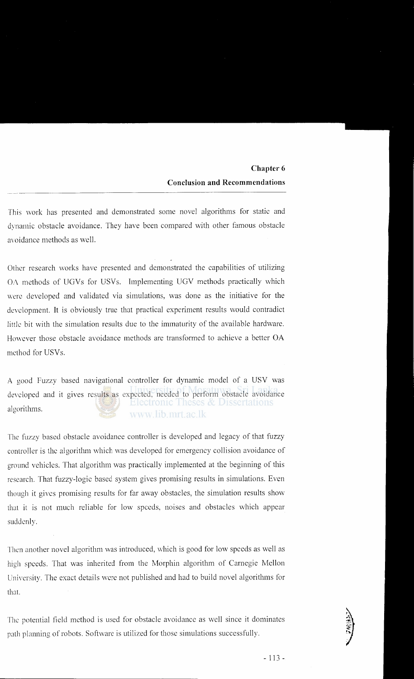This work has presented and demonstrated some novel algorithms for static and dynamic obstacle avoidance. They have been compared with other famous obstacle avoidance methods as well.

Other research works have presented and demonstrated the capabilities of utilizing OA methods of UGVs for USVs. Implementing UGV methods practically which were developed and validated via simulations, was done as the initiative for the development. It is obviously true that practical experiment results would contradict *little* bit with the simulation results due to the immaturity of the available hardware. However those obstacle avoidance methods are transformed to achieve a better OA method for USVs.

A good Fuzzy based navigational controller for dynamic model of a USV was developed and it gives results as expected, needed to perform obstacle avoidance algorithms. www.lib.mrt.ac.lk

The fuzzy based obstacle avoidance controller is developed and legacy of that fuzzy controller is the algorithm which was developed for emergency collision avoidance of ground vehicles. That algorithm was practically implemented at the beginning of this research. That fuzzy-logic based system gives promising results in simulations. Even though it gives promising results for far away obstacles, the simulation results show that it is not much reliable for low speeds, noises and obstacles which appear suddenly.

Then another novel algorithm was introduced, which is good for low speeds as well as high speeds. That was inherited from the Morphin algorithm of Carnegie Mellon University. The exact details were not published and had to build novel algorithms for that.

The potential field method is used for obstacle avoidance as well since it dominates path planning of robots. Software is utilized for those simulations successfully.